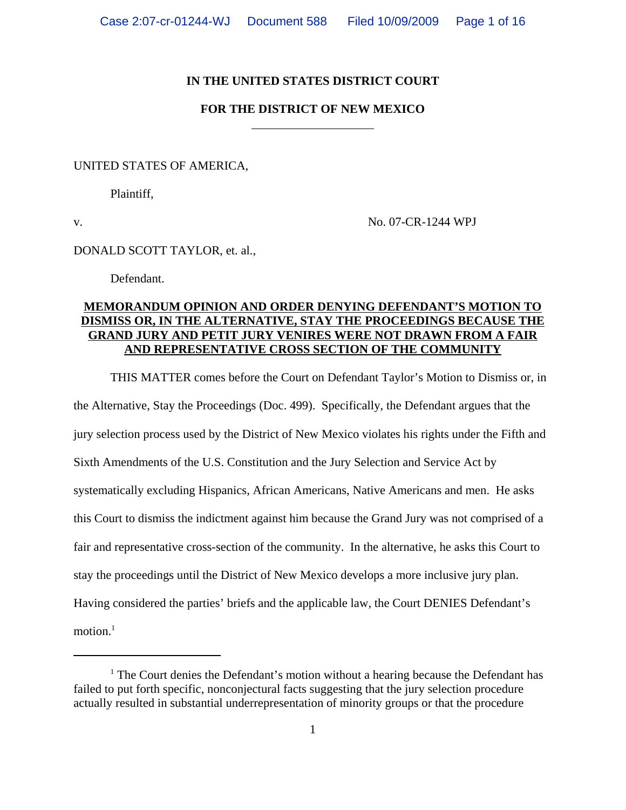# **IN THE UNITED STATES DISTRICT COURT**

# **FOR THE DISTRICT OF NEW MEXICO**

## UNITED STATES OF AMERICA,

Plaintiff,

v. No. 07-CR-1244 WPJ

## DONALD SCOTT TAYLOR, et. al.,

Defendant.

# **MEMORANDUM OPINION AND ORDER DENYING DEFENDANT'S MOTION TO DISMISS OR, IN THE ALTERNATIVE, STAY THE PROCEEDINGS BECAUSE THE GRAND JURY AND PETIT JURY VENIRES WERE NOT DRAWN FROM A FAIR AND REPRESENTATIVE CROSS SECTION OF THE COMMUNITY**

THIS MATTER comes before the Court on Defendant Taylor's Motion to Dismiss or, in the Alternative, Stay the Proceedings (Doc. 499). Specifically, the Defendant argues that the jury selection process used by the District of New Mexico violates his rights under the Fifth and Sixth Amendments of the U.S. Constitution and the Jury Selection and Service Act by systematically excluding Hispanics, African Americans, Native Americans and men. He asks this Court to dismiss the indictment against him because the Grand Jury was not comprised of a fair and representative cross-section of the community. In the alternative, he asks this Court to stay the proceedings until the District of New Mexico develops a more inclusive jury plan. Having considered the parties' briefs and the applicable law, the Court DENIES Defendant's motion. $<sup>1</sup>$ </sup>

<sup>&</sup>lt;sup>1</sup> The Court denies the Defendant's motion without a hearing because the Defendant has failed to put forth specific, nonconjectural facts suggesting that the jury selection procedure actually resulted in substantial underrepresentation of minority groups or that the procedure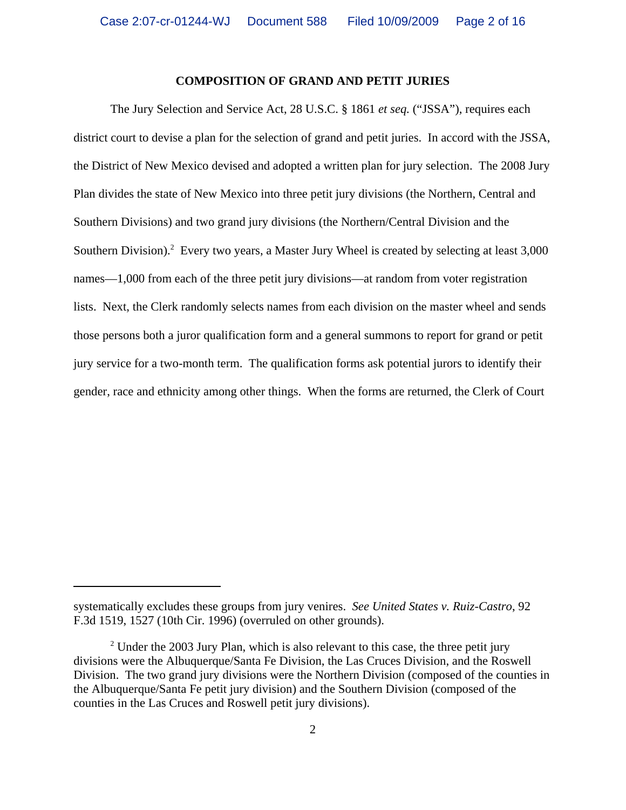### **COMPOSITION OF GRAND AND PETIT JURIES**

The Jury Selection and Service Act, 28 U.S.C. § 1861 *et seq.* ("JSSA"), requires each district court to devise a plan for the selection of grand and petit juries. In accord with the JSSA, the District of New Mexico devised and adopted a written plan for jury selection. The 2008 Jury Plan divides the state of New Mexico into three petit jury divisions (the Northern, Central and Southern Divisions) and two grand jury divisions (the Northern/Central Division and the Southern Division).<sup>2</sup> Every two years, a Master Jury Wheel is created by selecting at least 3,000 names—1,000 from each of the three petit jury divisions—at random from voter registration lists. Next, the Clerk randomly selects names from each division on the master wheel and sends those persons both a juror qualification form and a general summons to report for grand or petit jury service for a two-month term. The qualification forms ask potential jurors to identify their gender, race and ethnicity among other things. When the forms are returned, the Clerk of Court

systematically excludes these groups from jury venires. *See United States v. Ruiz-Castro*, 92 F.3d 1519, 1527 (10th Cir. 1996) (overruled on other grounds).

 $2$  Under the 2003 Jury Plan, which is also relevant to this case, the three petit jury divisions were the Albuquerque/Santa Fe Division, the Las Cruces Division, and the Roswell Division. The two grand jury divisions were the Northern Division (composed of the counties in the Albuquerque/Santa Fe petit jury division) and the Southern Division (composed of the counties in the Las Cruces and Roswell petit jury divisions).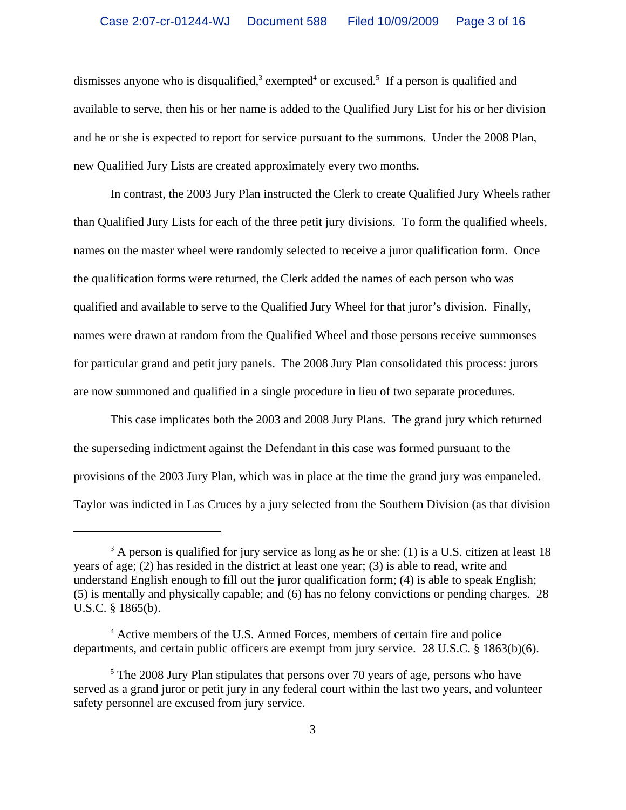dismisses anyone who is disqualified,<sup>3</sup> exempted<sup>4</sup> or excused.<sup>5</sup> If a person is qualified and available to serve, then his or her name is added to the Qualified Jury List for his or her division and he or she is expected to report for service pursuant to the summons. Under the 2008 Plan, new Qualified Jury Lists are created approximately every two months.

In contrast, the 2003 Jury Plan instructed the Clerk to create Qualified Jury Wheels rather than Qualified Jury Lists for each of the three petit jury divisions. To form the qualified wheels, names on the master wheel were randomly selected to receive a juror qualification form. Once the qualification forms were returned, the Clerk added the names of each person who was qualified and available to serve to the Qualified Jury Wheel for that juror's division. Finally, names were drawn at random from the Qualified Wheel and those persons receive summonses for particular grand and petit jury panels. The 2008 Jury Plan consolidated this process: jurors are now summoned and qualified in a single procedure in lieu of two separate procedures.

This case implicates both the 2003 and 2008 Jury Plans. The grand jury which returned the superseding indictment against the Defendant in this case was formed pursuant to the provisions of the 2003 Jury Plan, which was in place at the time the grand jury was empaneled. Taylor was indicted in Las Cruces by a jury selected from the Southern Division (as that division

 $3$  A person is qualified for jury service as long as he or she: (1) is a U.S. citizen at least 18 years of age; (2) has resided in the district at least one year; (3) is able to read, write and understand English enough to fill out the juror qualification form; (4) is able to speak English; (5) is mentally and physically capable; and (6) has no felony convictions or pending charges. 28 U.S.C. § 1865(b).

<sup>&</sup>lt;sup>4</sup> Active members of the U.S. Armed Forces, members of certain fire and police departments, and certain public officers are exempt from jury service. 28 U.S.C. § 1863(b)(6).

<sup>&</sup>lt;sup>5</sup> The 2008 Jury Plan stipulates that persons over 70 years of age, persons who have served as a grand juror or petit jury in any federal court within the last two years, and volunteer safety personnel are excused from jury service.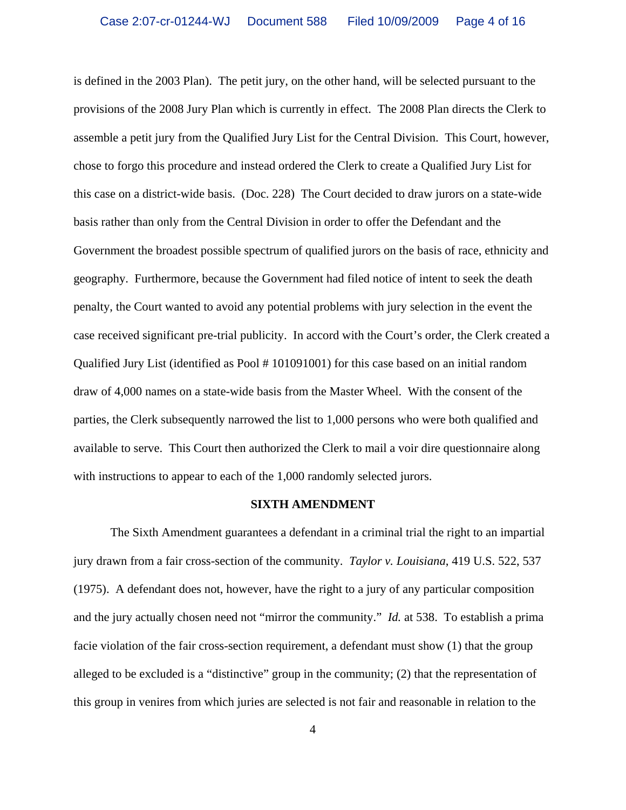is defined in the 2003 Plan). The petit jury, on the other hand, will be selected pursuant to the provisions of the 2008 Jury Plan which is currently in effect. The 2008 Plan directs the Clerk to assemble a petit jury from the Qualified Jury List for the Central Division. This Court, however, chose to forgo this procedure and instead ordered the Clerk to create a Qualified Jury List for this case on a district-wide basis. (Doc. 228) The Court decided to draw jurors on a state-wide basis rather than only from the Central Division in order to offer the Defendant and the Government the broadest possible spectrum of qualified jurors on the basis of race, ethnicity and geography. Furthermore, because the Government had filed notice of intent to seek the death penalty, the Court wanted to avoid any potential problems with jury selection in the event the case received significant pre-trial publicity. In accord with the Court's order, the Clerk created a Qualified Jury List (identified as Pool # 101091001) for this case based on an initial random draw of 4,000 names on a state-wide basis from the Master Wheel.With the consent of the parties, the Clerk subsequently narrowed the list to 1,000 persons who were both qualified and available to serve. This Court then authorized the Clerk to mail a voir dire questionnaire along with instructions to appear to each of the 1,000 randomly selected jurors.

#### **SIXTH AMENDMENT**

The Sixth Amendment guarantees a defendant in a criminal trial the right to an impartial jury drawn from a fair cross-section of the community. *Taylor v. Louisiana*, 419 U.S. 522, 537 (1975). A defendant does not, however, have the right to a jury of any particular composition and the jury actually chosen need not "mirror the community." *Id.* at 538. To establish a prima facie violation of the fair cross-section requirement, a defendant must show (1) that the group alleged to be excluded is a "distinctive" group in the community; (2) that the representation of this group in venires from which juries are selected is not fair and reasonable in relation to the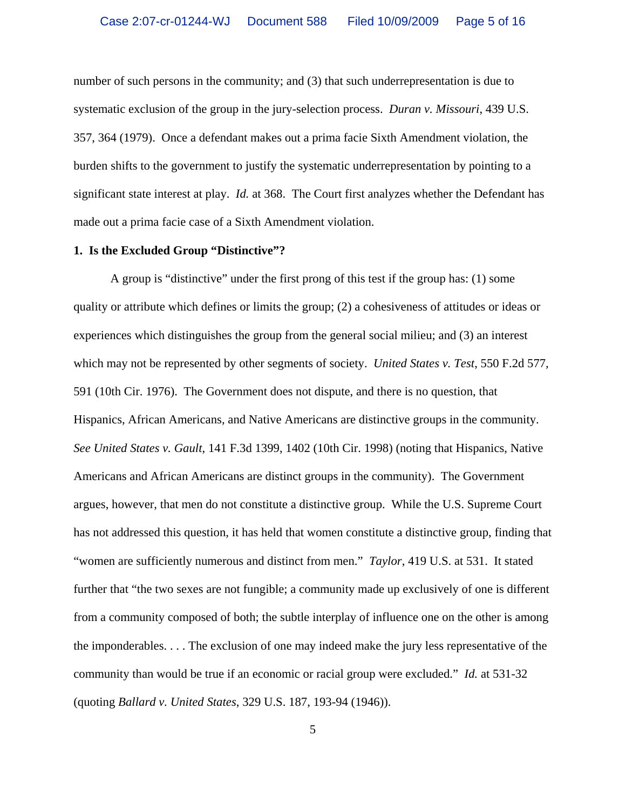number of such persons in the community; and (3) that such underrepresentation is due to systematic exclusion of the group in the jury-selection process. *Duran v. Missouri*, 439 U.S. 357, 364 (1979). Once a defendant makes out a prima facie Sixth Amendment violation, the burden shifts to the government to justify the systematic underrepresentation by pointing to a significant state interest at play. *Id.* at 368. The Court first analyzes whether the Defendant has made out a prima facie case of a Sixth Amendment violation.

### **1. Is the Excluded Group "Distinctive"?**

A group is "distinctive" under the first prong of this test if the group has: (1) some quality or attribute which defines or limits the group; (2) a cohesiveness of attitudes or ideas or experiences which distinguishes the group from the general social milieu; and (3) an interest which may not be represented by other segments of society. *United States v. Test*, 550 F.2d 577, 591 (10th Cir. 1976). The Government does not dispute, and there is no question, that Hispanics, African Americans, and Native Americans are distinctive groups in the community. *See United States v. Gault*, 141 F.3d 1399, 1402 (10th Cir. 1998) (noting that Hispanics, Native Americans and African Americans are distinct groups in the community). The Government argues, however, that men do not constitute a distinctive group. While the U.S. Supreme Court has not addressed this question, it has held that women constitute a distinctive group, finding that "women are sufficiently numerous and distinct from men." *Taylor*, 419 U.S. at 531. It stated further that "the two sexes are not fungible; a community made up exclusively of one is different from a community composed of both; the subtle interplay of influence one on the other is among the imponderables. . . . The exclusion of one may indeed make the jury less representative of the community than would be true if an economic or racial group were excluded." *Id.* at 531-32 (quoting *Ballard v. United States*, 329 U.S. 187, 193-94 (1946)).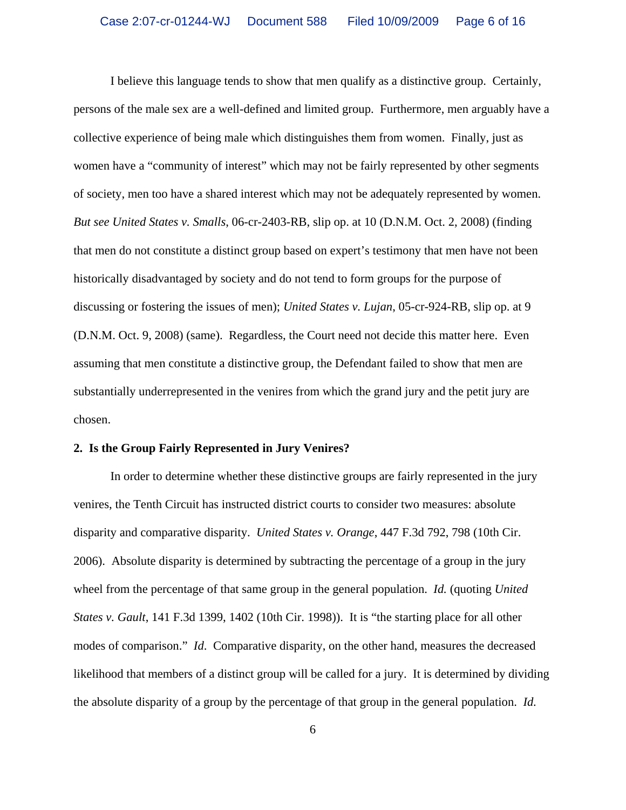I believe this language tends to show that men qualify as a distinctive group. Certainly, persons of the male sex are a well-defined and limited group. Furthermore, men arguably have a collective experience of being male which distinguishes them from women. Finally, just as women have a "community of interest" which may not be fairly represented by other segments of society, men too have a shared interest which may not be adequately represented by women. *But see United States v. Smalls*, 06-cr-2403-RB, slip op. at 10 (D.N.M. Oct. 2, 2008) (finding that men do not constitute a distinct group based on expert's testimony that men have not been historically disadvantaged by society and do not tend to form groups for the purpose of discussing or fostering the issues of men); *United States v. Lujan*, 05-cr-924-RB, slip op. at 9 (D.N.M. Oct. 9, 2008) (same). Regardless, the Court need not decide this matter here. Even assuming that men constitute a distinctive group, the Defendant failed to show that men are substantially underrepresented in the venires from which the grand jury and the petit jury are chosen.

#### **2. Is the Group Fairly Represented in Jury Venires?**

In order to determine whether these distinctive groups are fairly represented in the jury venires, the Tenth Circuit has instructed district courts to consider two measures: absolute disparity and comparative disparity. *United States v. Orange*, 447 F.3d 792, 798 (10th Cir. 2006). Absolute disparity is determined by subtracting the percentage of a group in the jury wheel from the percentage of that same group in the general population. *Id.* (quoting *United States v. Gault*, 141 F.3d 1399, 1402 (10th Cir. 1998)). It is "the starting place for all other modes of comparison." *Id*. Comparative disparity, on the other hand, measures the decreased likelihood that members of a distinct group will be called for a jury. It is determined by dividing the absolute disparity of a group by the percentage of that group in the general population. *Id.*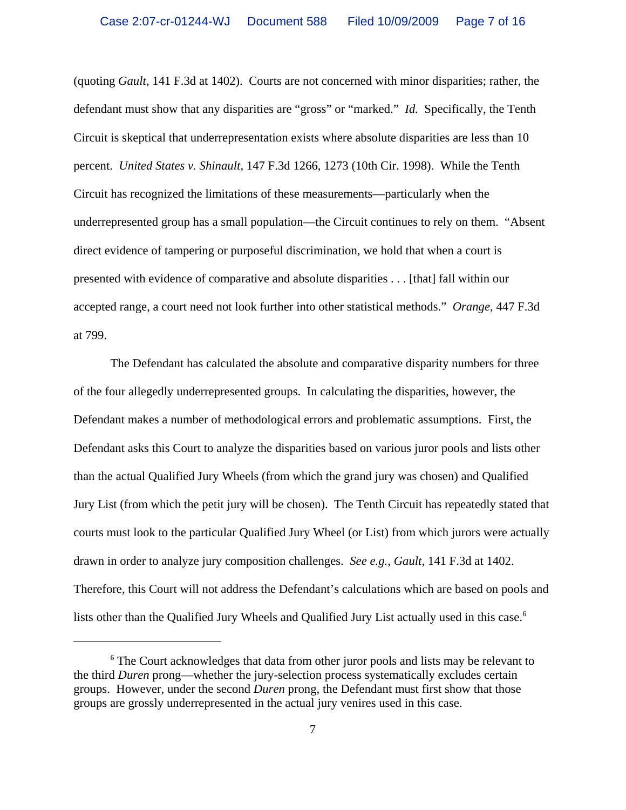(quoting *Gault*, 141 F.3d at 1402). Courts are not concerned with minor disparities; rather, the defendant must show that any disparities are "gross" or "marked." *Id.* Specifically, the Tenth Circuit is skeptical that underrepresentation exists where absolute disparities are less than 10 percent. *United States v. Shinault*, 147 F.3d 1266, 1273 (10th Cir. 1998). While the Tenth Circuit has recognized the limitations of these measurements—particularly when the underrepresented group has a small population—the Circuit continues to rely on them. "Absent direct evidence of tampering or purposeful discrimination, we hold that when a court is presented with evidence of comparative and absolute disparities . . . [that] fall within our accepted range, a court need not look further into other statistical methods." *Orange*, 447 F.3d at 799.

The Defendant has calculated the absolute and comparative disparity numbers for three of the four allegedly underrepresented groups. In calculating the disparities, however, the Defendant makes a number of methodological errors and problematic assumptions. First, the Defendant asks this Court to analyze the disparities based on various juror pools and lists other than the actual Qualified Jury Wheels (from which the grand jury was chosen) and Qualified Jury List (from which the petit jury will be chosen). The Tenth Circuit has repeatedly stated that courts must look to the particular Qualified Jury Wheel (or List) from which jurors were actually drawn in order to analyze jury composition challenges. *See e.g.*, *Gault*, 141 F.3d at 1402. Therefore, this Court will not address the Defendant's calculations which are based on pools and lists other than the Qualified Jury Wheels and Qualified Jury List actually used in this case.<sup>6</sup>

<sup>&</sup>lt;sup>6</sup> The Court acknowledges that data from other juror pools and lists may be relevant to the third *Duren* prong—whether the jury-selection process systematically excludes certain groups. However, under the second *Duren* prong, the Defendant must first show that those groups are grossly underrepresented in the actual jury venires used in this case.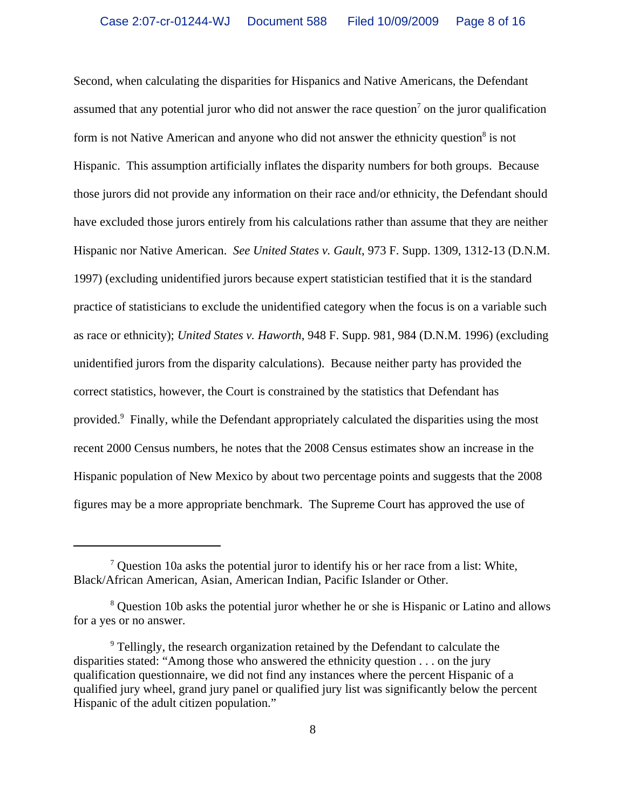Second, when calculating the disparities for Hispanics and Native Americans, the Defendant assumed that any potential juror who did not answer the race question<sup>7</sup> on the juror qualification form is not Native American and anyone who did not answer the ethnicity question<sup>8</sup> is not Hispanic. This assumption artificially inflates the disparity numbers for both groups. Because those jurors did not provide any information on their race and/or ethnicity, the Defendant should have excluded those jurors entirely from his calculations rather than assume that they are neither Hispanic nor Native American. *See United States v. Gault*, 973 F. Supp. 1309, 1312-13 (D.N.M. 1997) (excluding unidentified jurors because expert statistician testified that it is the standard practice of statisticians to exclude the unidentified category when the focus is on a variable such as race or ethnicity); *United States v. Haworth*, 948 F. Supp. 981, 984 (D.N.M. 1996) (excluding unidentified jurors from the disparity calculations). Because neither party has provided the correct statistics, however, the Court is constrained by the statistics that Defendant has provided.<sup>9</sup> Finally, while the Defendant appropriately calculated the disparities using the most recent 2000 Census numbers, he notes that the 2008 Census estimates show an increase in the Hispanic population of New Mexico by about two percentage points and suggests that the 2008 figures may be a more appropriate benchmark. The Supreme Court has approved the use of

 $7$  Question 10a asks the potential juror to identify his or her race from a list: White, Black/African American, Asian, American Indian, Pacific Islander or Other.

<sup>&</sup>lt;sup>8</sup> Question 10b asks the potential juror whether he or she is Hispanic or Latino and allows for a yes or no answer.

<sup>&</sup>lt;sup>9</sup> Tellingly, the research organization retained by the Defendant to calculate the disparities stated: "Among those who answered the ethnicity question . . . on the jury qualification questionnaire, we did not find any instances where the percent Hispanic of a qualified jury wheel, grand jury panel or qualified jury list was significantly below the percent Hispanic of the adult citizen population."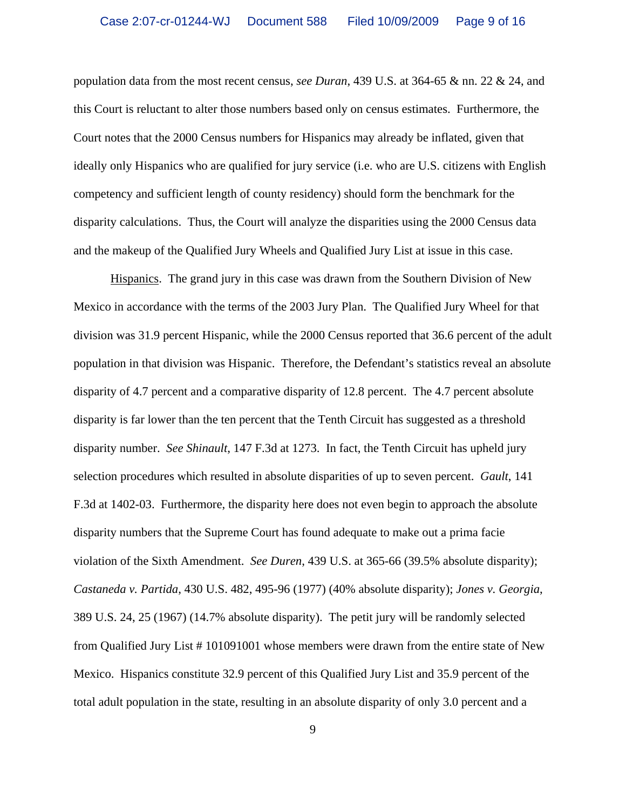population data from the most recent census, *see Duran*, 439 U.S. at 364-65 & nn. 22 & 24, and this Court is reluctant to alter those numbers based only on census estimates. Furthermore, the Court notes that the 2000 Census numbers for Hispanics may already be inflated, given that ideally only Hispanics who are qualified for jury service (i.e. who are U.S. citizens with English competency and sufficient length of county residency) should form the benchmark for the disparity calculations. Thus, the Court will analyze the disparities using the 2000 Census data and the makeup of the Qualified Jury Wheels and Qualified Jury List at issue in this case.

Hispanics. The grand jury in this case was drawn from the Southern Division of New Mexico in accordance with the terms of the 2003 Jury Plan. The Qualified Jury Wheel for that division was 31.9 percent Hispanic, while the 2000 Census reported that 36.6 percent of the adult population in that division was Hispanic. Therefore, the Defendant's statistics reveal an absolute disparity of 4.7 percent and a comparative disparity of 12.8 percent. The 4.7 percent absolute disparity is far lower than the ten percent that the Tenth Circuit has suggested as a threshold disparity number. *See Shinault*, 147 F.3d at 1273. In fact, the Tenth Circuit has upheld jury selection procedures which resulted in absolute disparities of up to seven percent. *Gault*, 141 F.3d at 1402-03. Furthermore, the disparity here does not even begin to approach the absolute disparity numbers that the Supreme Court has found adequate to make out a prima facie violation of the Sixth Amendment. *See Duren*, 439 U.S. at 365-66 (39.5% absolute disparity); *Castaneda v. Partida*, 430 U.S. 482, 495-96 (1977) (40% absolute disparity); *Jones v. Georgia*, 389 U.S. 24, 25 (1967) (14.7% absolute disparity). The petit jury will be randomly selected from Qualified Jury List # 101091001 whose members were drawn from the entire state of New Mexico. Hispanics constitute 32.9 percent of this Qualified Jury List and 35.9 percent of the total adult population in the state, resulting in an absolute disparity of only 3.0 percent and a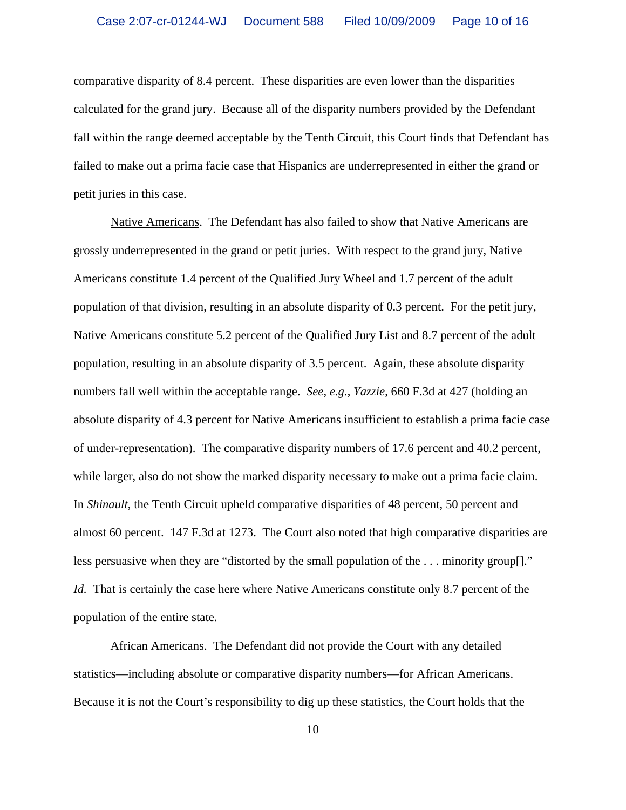comparative disparity of 8.4 percent. These disparities are even lower than the disparities calculated for the grand jury. Because all of the disparity numbers provided by the Defendant fall within the range deemed acceptable by the Tenth Circuit, this Court finds that Defendant has failed to make out a prima facie case that Hispanics are underrepresented in either the grand or petit juries in this case.

Native Americans. The Defendant has also failed to show that Native Americans are grossly underrepresented in the grand or petit juries. With respect to the grand jury, Native Americans constitute 1.4 percent of the Qualified Jury Wheel and 1.7 percent of the adult population of that division, resulting in an absolute disparity of 0.3 percent. For the petit jury, Native Americans constitute 5.2 percent of the Qualified Jury List and 8.7 percent of the adult population, resulting in an absolute disparity of 3.5 percent. Again, these absolute disparity numbers fall well within the acceptable range. *See, e.g.*, *Yazzie*, 660 F.3d at 427 (holding an absolute disparity of 4.3 percent for Native Americans insufficient to establish a prima facie case of under-representation). The comparative disparity numbers of 17.6 percent and 40.2 percent, while larger, also do not show the marked disparity necessary to make out a prima facie claim. In *Shinault*, the Tenth Circuit upheld comparative disparities of 48 percent, 50 percent and almost 60 percent. 147 F.3d at 1273. The Court also noted that high comparative disparities are less persuasive when they are "distorted by the small population of the . . . minority group[]." *Id.* That is certainly the case here where Native Americans constitute only 8.7 percent of the population of the entire state.

African Americans. The Defendant did not provide the Court with any detailed statistics—including absolute or comparative disparity numbers—for African Americans. Because it is not the Court's responsibility to dig up these statistics, the Court holds that the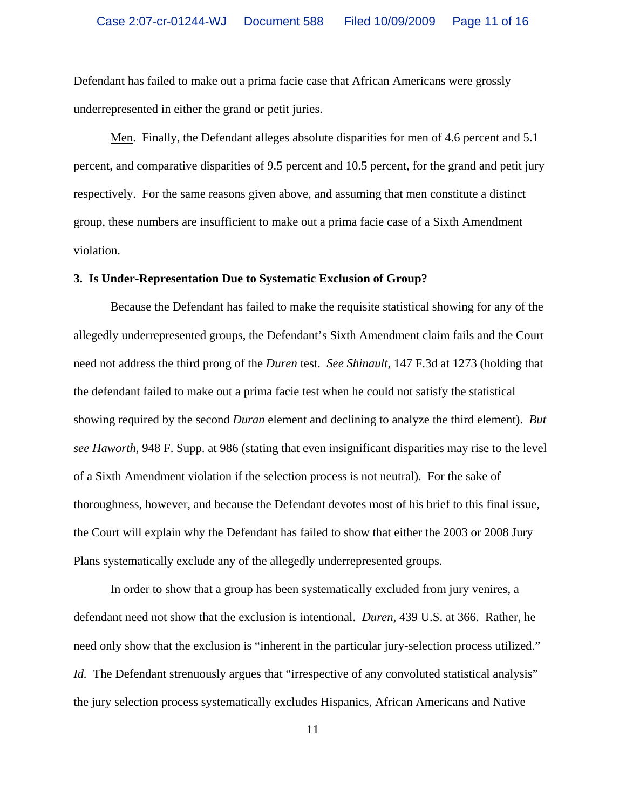Defendant has failed to make out a prima facie case that African Americans were grossly underrepresented in either the grand or petit juries.

Men. Finally, the Defendant alleges absolute disparities for men of 4.6 percent and 5.1 percent, and comparative disparities of 9.5 percent and 10.5 percent, for the grand and petit jury respectively. For the same reasons given above, and assuming that men constitute a distinct group, these numbers are insufficient to make out a prima facie case of a Sixth Amendment violation.

### **3. Is Under-Representation Due to Systematic Exclusion of Group?**

Because the Defendant has failed to make the requisite statistical showing for any of the allegedly underrepresented groups, the Defendant's Sixth Amendment claim fails and the Court need not address the third prong of the *Duren* test. *See Shinault*, 147 F.3d at 1273 (holding that the defendant failed to make out a prima facie test when he could not satisfy the statistical showing required by the second *Duran* element and declining to analyze the third element). *But see Haworth*, 948 F. Supp. at 986 (stating that even insignificant disparities may rise to the level of a Sixth Amendment violation if the selection process is not neutral). For the sake of thoroughness, however, and because the Defendant devotes most of his brief to this final issue, the Court will explain why the Defendant has failed to show that either the 2003 or 2008 Jury Plans systematically exclude any of the allegedly underrepresented groups.

In order to show that a group has been systematically excluded from jury venires, a defendant need not show that the exclusion is intentional. *Duren*, 439 U.S. at 366. Rather, he need only show that the exclusion is "inherent in the particular jury-selection process utilized." *Id.* The Defendant strenuously argues that "irrespective of any convoluted statistical analysis" the jury selection process systematically excludes Hispanics, African Americans and Native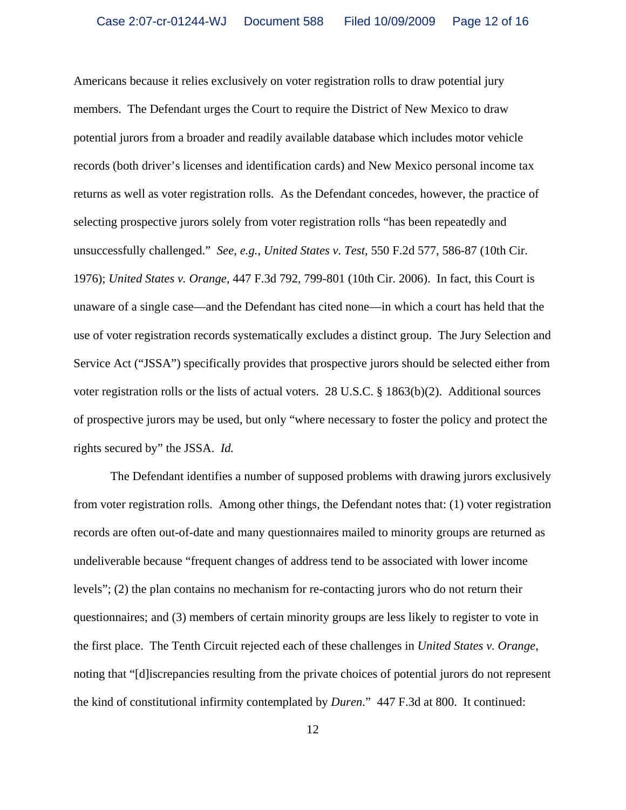Americans because it relies exclusively on voter registration rolls to draw potential jury members. The Defendant urges the Court to require the District of New Mexico to draw potential jurors from a broader and readily available database which includes motor vehicle records (both driver's licenses and identification cards) and New Mexico personal income tax returns as well as voter registration rolls. As the Defendant concedes, however, the practice of selecting prospective jurors solely from voter registration rolls "has been repeatedly and unsuccessfully challenged." *See, e.g.*, *United States v. Test*, 550 F.2d 577, 586-87 (10th Cir. 1976); *United States v. Orange*, 447 F.3d 792, 799-801 (10th Cir. 2006). In fact, this Court is unaware of a single case—and the Defendant has cited none—in which a court has held that the use of voter registration records systematically excludes a distinct group. The Jury Selection and Service Act ("JSSA") specifically provides that prospective jurors should be selected either from voter registration rolls or the lists of actual voters. 28 U.S.C. § 1863(b)(2). Additional sources of prospective jurors may be used, but only "where necessary to foster the policy and protect the rights secured by" the JSSA. *Id.*

The Defendant identifies a number of supposed problems with drawing jurors exclusively from voter registration rolls. Among other things, the Defendant notes that: (1) voter registration records are often out-of-date and many questionnaires mailed to minority groups are returned as undeliverable because "frequent changes of address tend to be associated with lower income levels"; (2) the plan contains no mechanism for re-contacting jurors who do not return their questionnaires; and (3) members of certain minority groups are less likely to register to vote in the first place. The Tenth Circuit rejected each of these challenges in *United States v. Orange*, noting that "[d]iscrepancies resulting from the private choices of potential jurors do not represent the kind of constitutional infirmity contemplated by *Duren*." 447 F.3d at 800. It continued: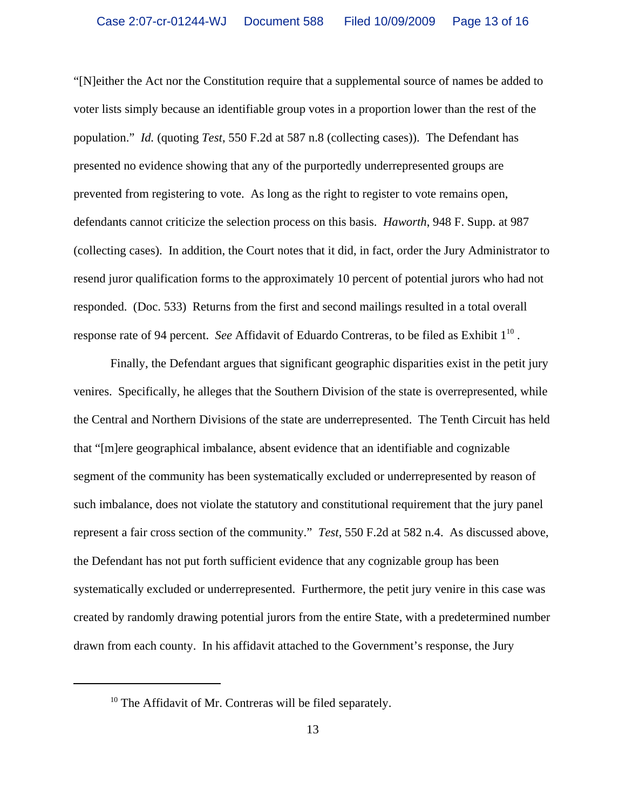"[N]either the Act nor the Constitution require that a supplemental source of names be added to voter lists simply because an identifiable group votes in a proportion lower than the rest of the population." *Id.* (quoting *Test*, 550 F.2d at 587 n.8 (collecting cases)). The Defendant has presented no evidence showing that any of the purportedly underrepresented groups are prevented from registering to vote. As long as the right to register to vote remains open, defendants cannot criticize the selection process on this basis. *Haworth*, 948 F. Supp. at 987 (collecting cases). In addition, the Court notes that it did, in fact, order the Jury Administrator to resend juror qualification forms to the approximately 10 percent of potential jurors who had not responded. (Doc. 533) Returns from the first and second mailings resulted in a total overall response rate of 94 percent. *See* Affidavit of Eduardo Contreras, to be filed as Exhibit  $1^{10}$ .

Finally, the Defendant argues that significant geographic disparities exist in the petit jury venires. Specifically, he alleges that the Southern Division of the state is overrepresented, while the Central and Northern Divisions of the state are underrepresented. The Tenth Circuit has held that "[m]ere geographical imbalance, absent evidence that an identifiable and cognizable segment of the community has been systematically excluded or underrepresented by reason of such imbalance, does not violate the statutory and constitutional requirement that the jury panel represent a fair cross section of the community." *Test*, 550 F.2d at 582 n.4. As discussed above, the Defendant has not put forth sufficient evidence that any cognizable group has been systematically excluded or underrepresented. Furthermore, the petit jury venire in this case was created by randomly drawing potential jurors from the entire State, with a predetermined number drawn from each county. In his affidavit attached to the Government's response, the Jury

<sup>&</sup>lt;sup>10</sup> The Affidavit of Mr. Contreras will be filed separately.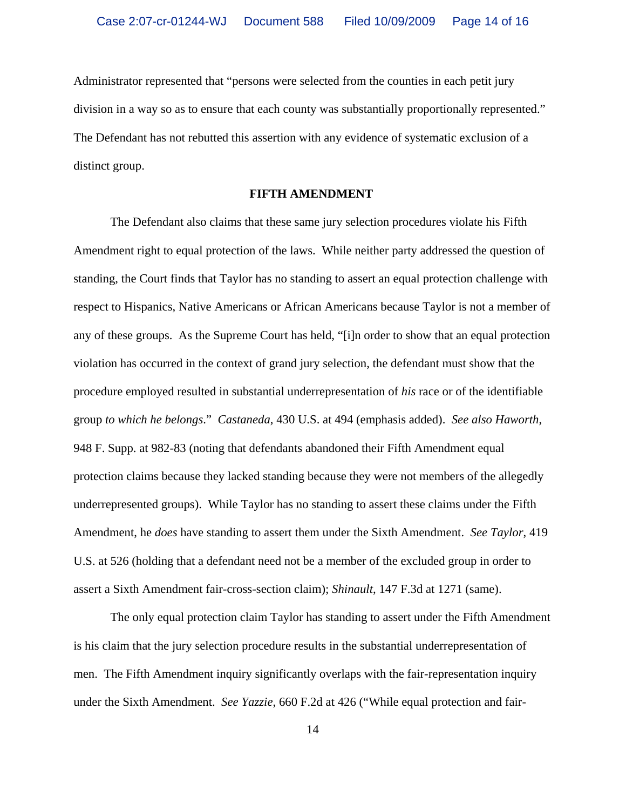Administrator represented that "persons were selected from the counties in each petit jury division in a way so as to ensure that each county was substantially proportionally represented." The Defendant has not rebutted this assertion with any evidence of systematic exclusion of a distinct group.

### **FIFTH AMENDMENT**

The Defendant also claims that these same jury selection procedures violate his Fifth Amendment right to equal protection of the laws. While neither party addressed the question of standing, the Court finds that Taylor has no standing to assert an equal protection challenge with respect to Hispanics, Native Americans or African Americans because Taylor is not a member of any of these groups. As the Supreme Court has held, "[i]n order to show that an equal protection violation has occurred in the context of grand jury selection, the defendant must show that the procedure employed resulted in substantial underrepresentation of *his* race or of the identifiable group *to which he belongs*." *Castaneda*, 430 U.S. at 494 (emphasis added). *See also Haworth*, 948 F. Supp. at 982-83 (noting that defendants abandoned their Fifth Amendment equal protection claims because they lacked standing because they were not members of the allegedly underrepresented groups). While Taylor has no standing to assert these claims under the Fifth Amendment, he *does* have standing to assert them under the Sixth Amendment. *See Taylor*, 419 U.S. at 526 (holding that a defendant need not be a member of the excluded group in order to assert a Sixth Amendment fair-cross-section claim); *Shinault*, 147 F.3d at 1271 (same).

The only equal protection claim Taylor has standing to assert under the Fifth Amendment is his claim that the jury selection procedure results in the substantial underrepresentation of men. The Fifth Amendment inquiry significantly overlaps with the fair-representation inquiry under the Sixth Amendment. *See Yazzie*, 660 F.2d at 426 ("While equal protection and fair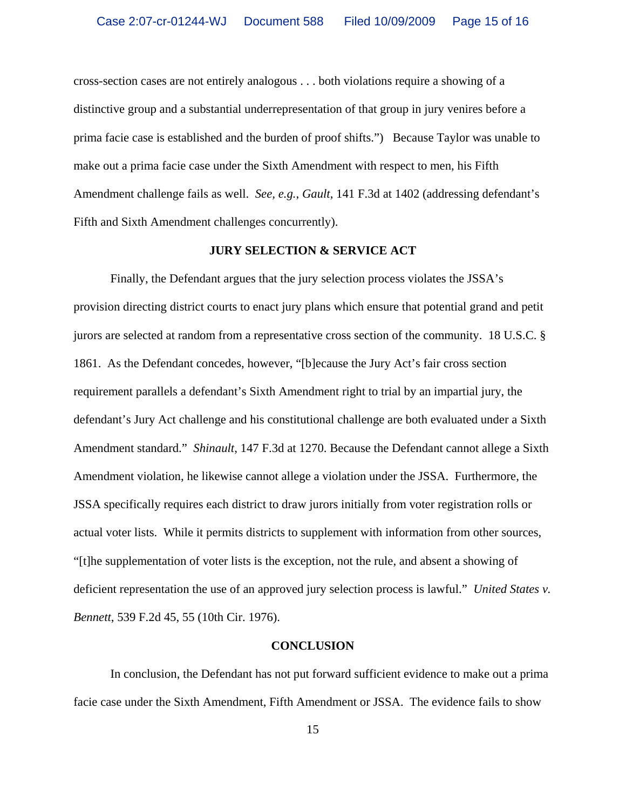cross-section cases are not entirely analogous . . . both violations require a showing of a distinctive group and a substantial underrepresentation of that group in jury venires before a prima facie case is established and the burden of proof shifts.") Because Taylor was unable to make out a prima facie case under the Sixth Amendment with respect to men, his Fifth Amendment challenge fails as well. *See, e.g.*, *Gault*, 141 F.3d at 1402 (addressing defendant's Fifth and Sixth Amendment challenges concurrently).

### **JURY SELECTION & SERVICE ACT**

Finally, the Defendant argues that the jury selection process violates the JSSA's provision directing district courts to enact jury plans which ensure that potential grand and petit jurors are selected at random from a representative cross section of the community. 18 U.S.C. § 1861. As the Defendant concedes, however, "[b]ecause the Jury Act's fair cross section requirement parallels a defendant's Sixth Amendment right to trial by an impartial jury, the defendant's Jury Act challenge and his constitutional challenge are both evaluated under a Sixth Amendment standard." *Shinault*, 147 F.3d at 1270. Because the Defendant cannot allege a Sixth Amendment violation, he likewise cannot allege a violation under the JSSA. Furthermore, the JSSA specifically requires each district to draw jurors initially from voter registration rolls or actual voter lists. While it permits districts to supplement with information from other sources, "[t]he supplementation of voter lists is the exception, not the rule, and absent a showing of deficient representation the use of an approved jury selection process is lawful." *United States v. Bennett*, 539 F.2d 45, 55 (10th Cir. 1976).

#### **CONCLUSION**

In conclusion, the Defendant has not put forward sufficient evidence to make out a prima facie case under the Sixth Amendment, Fifth Amendment or JSSA. The evidence fails to show